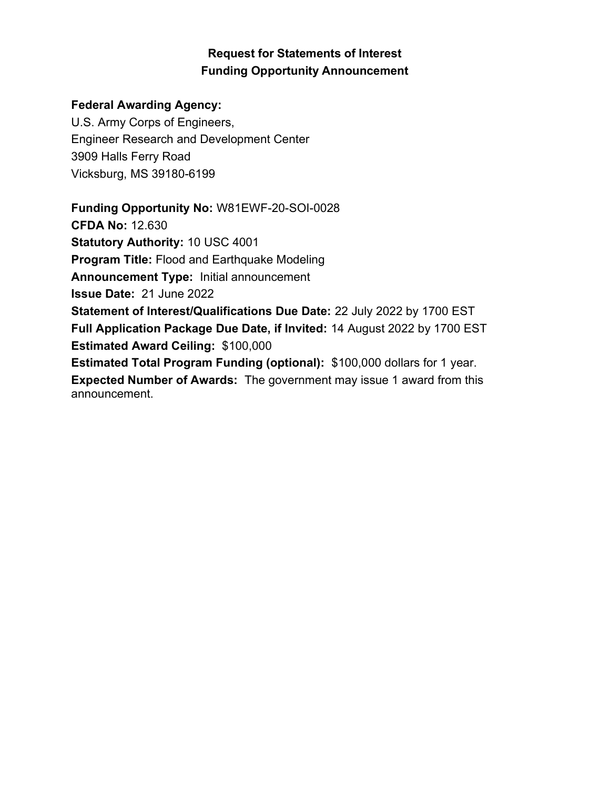# Request for Statements of Interest Funding Opportunity Announcement

## Federal Awarding Agency:

U.S. Army Corps of Engineers, Engineer Research and Development Center 3909 Halls Ferry Road Vicksburg, MS 39180-6199

Funding Opportunity No: W81EWF-20-SOI-0028 CFDA No: 12.630 Statutory Authority: 10 USC 4001 Program Title: Flood and Earthquake Modeling Announcement Type: Initial announcement Issue Date: 21 June 2022 Statement of Interest/Qualifications Due Date: 22 July 2022 by 1700 EST Full Application Package Due Date, if Invited: 14 August 2022 by 1700 EST Estimated Award Ceiling: \$100,000 Estimated Total Program Funding (optional): \$100,000 dollars for 1 year. Expected Number of Awards: The government may issue 1 award from this announcement.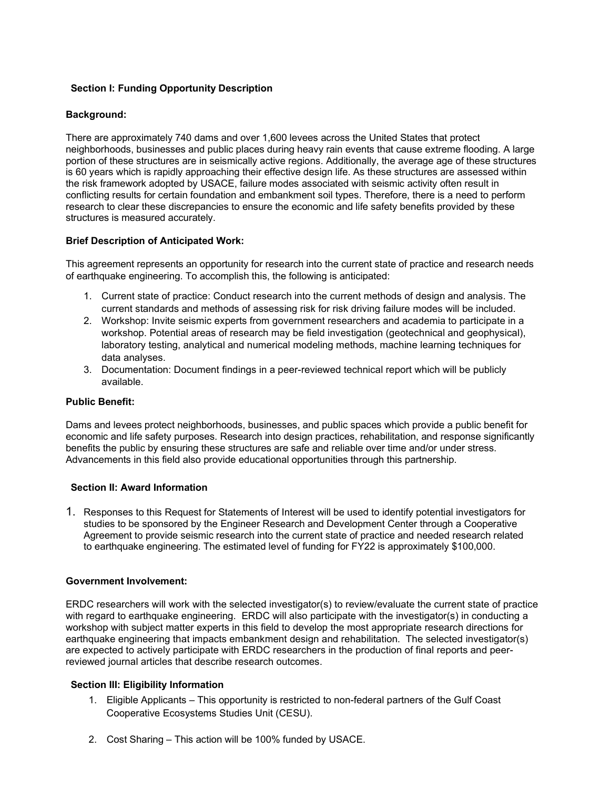## Section I: Funding Opportunity Description

## Background:

There are approximately 740 dams and over 1,600 levees across the United States that protect neighborhoods, businesses and public places during heavy rain events that cause extreme flooding. A large portion of these structures are in seismically active regions. Additionally, the average age of these structures is 60 years which is rapidly approaching their effective design life. As these structures are assessed within the risk framework adopted by USACE, failure modes associated with seismic activity often result in conflicting results for certain foundation and embankment soil types. Therefore, there is a need to perform research to clear these discrepancies to ensure the economic and life safety benefits provided by these structures is measured accurately.

## Brief Description of Anticipated Work:

This agreement represents an opportunity for research into the current state of practice and research needs of earthquake engineering. To accomplish this, the following is anticipated:

- 1. Current state of practice: Conduct research into the current methods of design and analysis. The current standards and methods of assessing risk for risk driving failure modes will be included.
- 2. Workshop: Invite seismic experts from government researchers and academia to participate in a workshop. Potential areas of research may be field investigation (geotechnical and geophysical), laboratory testing, analytical and numerical modeling methods, machine learning techniques for data analyses.
- 3. Documentation: Document findings in a peer-reviewed technical report which will be publicly available.

#### Public Benefit:

Dams and levees protect neighborhoods, businesses, and public spaces which provide a public benefit for economic and life safety purposes. Research into design practices, rehabilitation, and response significantly benefits the public by ensuring these structures are safe and reliable over time and/or under stress. Advancements in this field also provide educational opportunities through this partnership.

#### Section II: Award Information

1. Responses to this Request for Statements of Interest will be used to identify potential investigators for studies to be sponsored by the Engineer Research and Development Center through a Cooperative Agreement to provide seismic research into the current state of practice and needed research related to earthquake engineering. The estimated level of funding for FY22 is approximately \$100,000.

#### Government Involvement:

ERDC researchers will work with the selected investigator(s) to review/evaluate the current state of practice with regard to earthquake engineering. ERDC will also participate with the investigator(s) in conducting a workshop with subject matter experts in this field to develop the most appropriate research directions for earthquake engineering that impacts embankment design and rehabilitation. The selected investigator(s) are expected to actively participate with ERDC researchers in the production of final reports and peerreviewed journal articles that describe research outcomes.

## Section III: Eligibility Information

- 1. Eligible Applicants This opportunity is restricted to non-federal partners of the Gulf Coast Cooperative Ecosystems Studies Unit (CESU).
- 2. Cost Sharing This action will be 100% funded by USACE.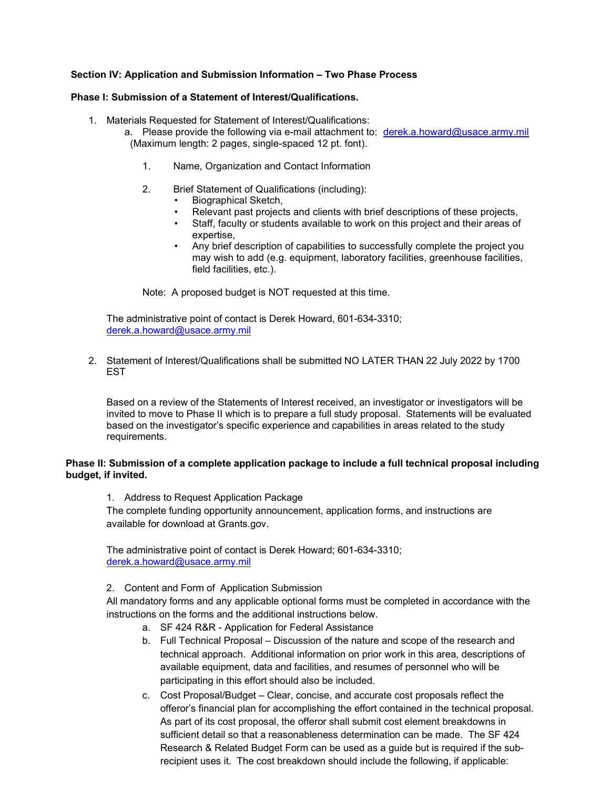## Section IV: Application and Submission Information – Two Phase Process

## Phase I: Submission of a Statement of Interest/Qualifications.

- 1. Materials Requested for Statement of Interest/Qualifications:
	- a. Please provide the following via e-mail attachment to: derek.a.howard@usace.army.mil (Maximum length: 2 pages, single-spaced 12 pt. font).
		- 1. Name, Organization and Contact Information
		- 2. Brief Statement of Qualifications (including):
			- Biographical Sketch,
			- Relevant past projects and clients with brief descriptions of these projects,
			- Staff, faculty or students available to work on this project and their areas of expertise,
			- Any brief description of capabilities to successfully complete the project you may wish to add (e.g. equipment, laboratory facilities, greenhouse facilities, field facilities, etc.).

Note: A proposed budget is NOT requested at this time.

The administrative point of contact is Derek Howard, 601-634-3310; derek.a.howard@usace.army.mil

2. Statement of Interest/Qualifications shall be submitted NO LATER THAN 22 July 2022 by 1700 **FST** 

Based on a review of the Statements of Interest received, an investigator or investigators will be invited to move to Phase II which is to prepare a full study proposal. Statements will be evaluated based on the investigator's specific experience and capabilities in areas related to the study requirements.

## Phase II: Submission of a complete application package to include a full technical proposal including budget, if invited.

1. Address to Request Application Package

The complete funding opportunity announcement, application forms, and instructions are available for download at Grants.gov.

The administrative point of contact is Derek Howard; 601-634-3310; derek.a.howard@usace.army.mil

2. Content and Form of Application Submission

All mandatory forms and any applicable optional forms must be completed in accordance with the instructions on the forms and the additional instructions below.

- a. SF 424 R&R Application for Federal Assistance
- b. Full Technical Proposal Discussion of the nature and scope of the research and technical approach. Additional information on prior work in this area, descriptions of available equipment, data and facilities, and resumes of personnel who will be participating in this effort should also be included.
- c. Cost Proposal/Budget Clear, concise, and accurate cost proposals reflect the offeror's financial plan for accomplishing the effort contained in the technical proposal. As part of its cost proposal, the offeror shall submit cost element breakdowns in sufficient detail so that a reasonableness determination can be made. The SF 424 Research & Related Budget Form can be used as a guide but is required if the subrecipient uses it. The cost breakdown should include the following, if applicable: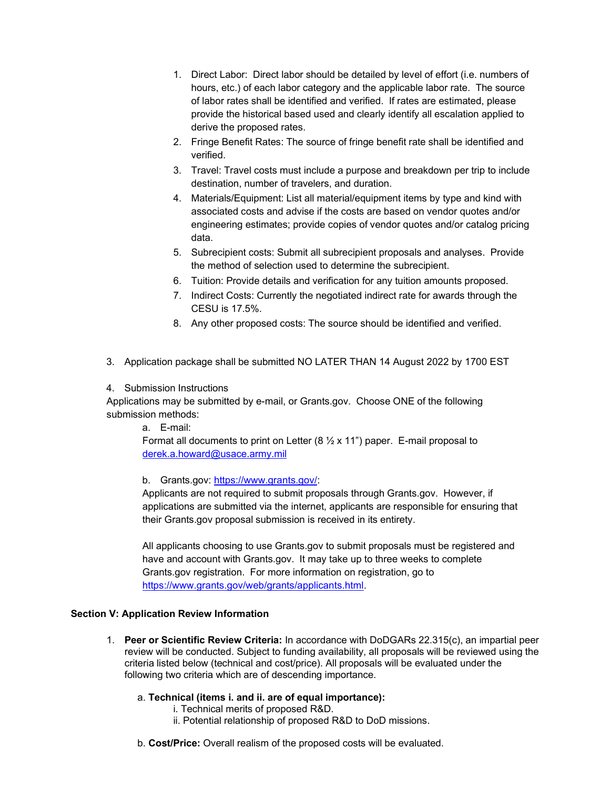- 1. Direct Labor: Direct labor should be detailed by level of effort (i.e. numbers of hours, etc.) of each labor category and the applicable labor rate. The source of labor rates shall be identified and verified. If rates are estimated, please provide the historical based used and clearly identify all escalation applied to derive the proposed rates.
- 2. Fringe Benefit Rates: The source of fringe benefit rate shall be identified and verified.
- 3. Travel: Travel costs must include a purpose and breakdown per trip to include destination, number of travelers, and duration.
- 4. Materials/Equipment: List all material/equipment items by type and kind with associated costs and advise if the costs are based on vendor quotes and/or engineering estimates; provide copies of vendor quotes and/or catalog pricing data.
- 5. Subrecipient costs: Submit all subrecipient proposals and analyses. Provide the method of selection used to determine the subrecipient.
- 6. Tuition: Provide details and verification for any tuition amounts proposed.
- 7. Indirect Costs: Currently the negotiated indirect rate for awards through the CESU is 17.5%.
- 8. Any other proposed costs: The source should be identified and verified.
- 3. Application package shall be submitted NO LATER THAN 14 August 2022 by 1700 EST
- 4. Submission Instructions

Applications may be submitted by e-mail, or Grants.gov. Choose ONE of the following submission methods:

a. E-mail:

Format all documents to print on Letter (8  $\frac{1}{2}$  x 11") paper. E-mail proposal to derek.a.howard@usace.army.mil

b. Grants.gov: https://www.grants.gov/:

Applicants are not required to submit proposals through Grants.gov. However, if applications are submitted via the internet, applicants are responsible for ensuring that their Grants.gov proposal submission is received in its entirety.

All applicants choosing to use Grants.gov to submit proposals must be registered and have and account with Grants.gov. It may take up to three weeks to complete Grants.gov registration. For more information on registration, go to https://www.grants.gov/web/grants/applicants.html.

#### Section V: Application Review Information

- 1. Peer or Scientific Review Criteria: In accordance with DoDGARs 22.315(c), an impartial peer review will be conducted. Subject to funding availability, all proposals will be reviewed using the criteria listed below (technical and cost/price). All proposals will be evaluated under the following two criteria which are of descending importance.
	- a. Technical (items i. and ii. are of equal importance):
		- i. Technical merits of proposed R&D.
		- ii. Potential relationship of proposed R&D to DoD missions.
	- b. Cost/Price: Overall realism of the proposed costs will be evaluated.